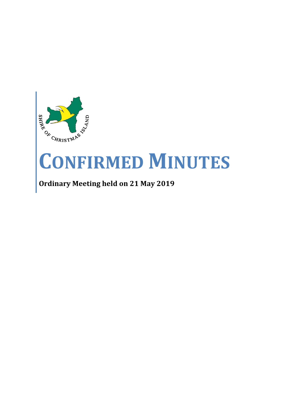

# **CONFIRMED MINUTES**

# **Ordinary Meeting held on 21 May 2019**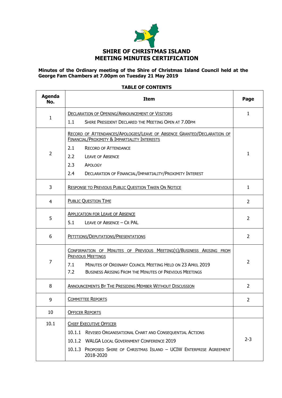

#### **Minutes of the Ordinary meeting of the Shire of Christmas Island Council held at the George Fam Chambers at 7.00pm on Tuesday 21 May 2019**

#### **TABLE OF CONTENTS**

| <b>Agenda</b><br>No. | <b>Item</b>                                                                                                                                                                                                                                  |                |  |
|----------------------|----------------------------------------------------------------------------------------------------------------------------------------------------------------------------------------------------------------------------------------------|----------------|--|
| 1                    | <b>DECLARATION OF OPENING/ANNOUNCEMENT OF VISITORS</b>                                                                                                                                                                                       |                |  |
|                      | SHIRE PRESIDENT DECLARED THE MEETING OPEN AT 7.00PM<br>1.1                                                                                                                                                                                   |                |  |
|                      | RECORD OF ATTENDANCES/APOLOGIES/LEAVE OF ABSENCE GRANTED/DECLARATION OF<br><b>FINANCIAL/PROXIMITY &amp; IMPARTIALITY INTERESTS</b>                                                                                                           |                |  |
| $\overline{2}$       | 2.1<br><b>RECORD OF ATTENDANCE</b>                                                                                                                                                                                                           | 1              |  |
|                      | 2.2<br><b>LEAVE OF ABSENCE</b>                                                                                                                                                                                                               |                |  |
|                      | 2.3<br>APOLOGY                                                                                                                                                                                                                               |                |  |
|                      | 2.4<br>DECLARATION OF FINANCIAL/IMPARTIALITY/PROXIMITY INTEREST                                                                                                                                                                              |                |  |
| 3                    | <b>RESPONSE TO PREVIOUS PUBLIC QUESTION TAKEN ON NOTICE</b>                                                                                                                                                                                  | $\mathbf{1}$   |  |
| 4                    | <b>PUBLIC QUESTION TIME</b>                                                                                                                                                                                                                  |                |  |
|                      | <b>APPLICATION FOR LEAVE OF ABSENCE</b>                                                                                                                                                                                                      |                |  |
| 5                    | 5.1<br>LEAVE OF ABSENCE - CR PAL                                                                                                                                                                                                             | $\overline{2}$ |  |
| 6                    | PETITIONS/DEPUTATIONS/PRESENTATIONS                                                                                                                                                                                                          | $\overline{2}$ |  |
| 7                    | CONFIRMATION OF MINUTES OF PREVIOUS MEETING(S)/BUSINESS ARISING FROM<br><b>PREVIOUS MEETINGS</b><br>7.1<br>MINUTES OF ORDINARY COUNCIL MEETING HELD ON 23 APRIL 2019<br>7.2<br><b>BUSINESS ARISING FROM THE MINUTES OF PREVIOUS MEETINGS</b> | $\overline{2}$ |  |
| 8                    | ANNOUNCEMENTS BY THE PRESIDING MEMBER WITHOUT DISCUSSION                                                                                                                                                                                     |                |  |
| 9                    | <b>COMMITTEE REPORTS</b>                                                                                                                                                                                                                     |                |  |
| 10                   | <b>OFFICER REPORTS</b>                                                                                                                                                                                                                       |                |  |
| 10.1                 | <b>CHIEF EXECUTIVE OFFICER</b>                                                                                                                                                                                                               |                |  |
|                      | 10.1.1 REVISED ORGANISATIONAL CHART AND CONSEQUENTIAL ACTIONS                                                                                                                                                                                |                |  |
|                      | 10.1.2 WALGA LOCAL GOVERNMENT CONFERENCE 2019                                                                                                                                                                                                | $2 - 3$        |  |
|                      | 10.1.3 PROPOSED SHIRE OF CHRISTMAS ISLAND - UCIW ENTERPRISE AGREEMENT<br>2018-2020                                                                                                                                                           |                |  |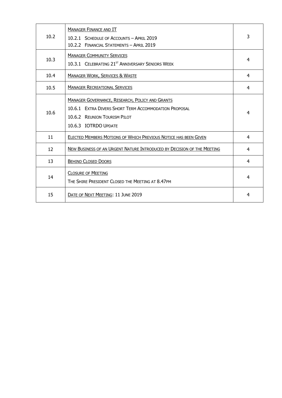| 10.2 | <b>MANAGER FINANCE AND IT</b><br>10.2.1 SCHEDULE OF ACCOUNTS - APRIL 2019<br>10.2.2 FINANCIAL STATEMENTS - APRIL 2019                                                   | 3              |
|------|-------------------------------------------------------------------------------------------------------------------------------------------------------------------------|----------------|
| 10.3 | <b>MANAGER COMMUNITY SERVICES</b><br>10.3.1 CELEBRATING 21 <sup>ST</sup> ANNIVERSARY SENIORS WEEK                                                                       | $\overline{4}$ |
| 10.4 | <b>MANAGER WORK, SERVICES &amp; WASTE</b>                                                                                                                               | 4              |
| 10.5 | <b>MANAGER RECREATIONAL SERVICES</b>                                                                                                                                    | 4              |
| 10.6 | <b>MANAGER GOVERNANCE, RESEARCH, POLICY AND GRANTS</b><br>10.6.1 EXTRA DIVERS SHORT TERM ACCOMMODATION PROPOSAL<br>10.6.2 REUNION TOURISM PILOT<br>10.6.3 IOTRDO UPDATE | 4              |
| 11   | ELECTED MEMBERS MOTIONS OF WHICH PREVIOUS NOTICE HAS BEEN GIVEN                                                                                                         | 4              |
| 12   | NEW BUSINESS OF AN URGENT NATURE INTRODUCED BY DECISION OF THE MEETING                                                                                                  | 4              |
| 13   | <b>BEHIND CLOSED DOORS</b>                                                                                                                                              | 4              |
| 14   | <b>CLOSURE OF MEETING</b><br>THE SHIRE PRESIDENT CLOSED THE MEETING AT 8.47PM                                                                                           | 4              |
| 15   | DATE OF NEXT MEETING: 11 JUNE 2019                                                                                                                                      | 4              |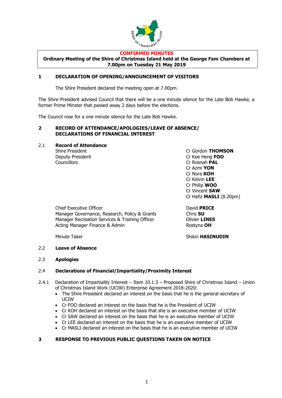

#### **CONFIRMED MINUTES**

**Ordinary Meeting of the Shire of Christmas Island held at the George Fam Chambers at 7.00pm on Tuesday 21 May 2019**

#### **1 DECLARATION OF OPENING/ANNOUNCEMENT OF VISITORS**

The Shire President declared the meeting open at 7.00pm.

The Shire President advised Council that there will be a one minute silence for the Late Bob Hawke, a former Prime Minster that passed away 2 days before the elections.

The Council rose for a one minute silence for the Late Bob Hawke.

#### **2 RECORD OF ATTENDANCE/APOLOGIES/LEAVE OF ABSENCE/ DECLARATIONS OF FINANCIAL INTEREST**

2.1 **Record of Attendance**

Councillors Cr Rosnah **PAL**

Shire President Cr Gordon **THOMSON** Deputy President Cr Kee Heng **FOO** Cr Azmi **YON** Cr Nora **KOH** Cr Kelvin **LEE** Cr Philip **WOO** Cr Vincent **SAW** Cr Hafiz **MASLI** (8.20pm)

Chief Executive Officer **David PRICE** Manager Governance, Research, Policy & Grants Chris SU Manager Recreation Services & Training Officer **CHANGS** Acting Manager Finance & Admin Rostyna **OH** 

Minute Taker **Shikin HASINUDIN** 

#### 2.2 **Leave of Absence**

#### 2.3 **Apologies**

#### 2.4 **Declarations of Financial/Impartiality/Proximity Interest**

- 2.4.1 Declaration of Impartiality Interest Item 10.1.3 Proposed Shire of Christmas Island Union of Christmas Island Work (UCIW) Enterprise Agreement 2018-2020:
	- The Shire President declared an interest on the basis that he is the general secretary of UCIW
	- Cr FOO declared an interest on the basis that he is the President of UCIW
	- Cr KOH declared an interest on the basis that she is an executive member of UCIW
	- Cr SAW declared an interest on the basis that he is an executive member of UCIW
	- Cr LEE declared an interest on the basis that he is an executive member of UCIW
	- Cr MASLI declared an interest on the basis that he is an executive member of UCIW

#### **3 RESPONSE TO PREVIOUS PUBLIC QUESTIONS TAKEN ON NOTICE**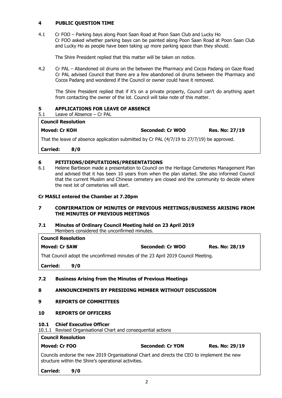#### **4 PUBLIC QUESTION TIME**

4.1 Cr FOO – Parking bays along Poon Saan Road at Poon Saan Club and Lucky Ho Cr FOO asked whether parking bays can be painted along Poon Saan Road at Poon Saan Club and Lucky Ho as people have been taking up more parking space than they should.

The Shire President replied that this matter will be taken on notice.

4.2 Cr PAL – Abandoned oil drums on the between the Pharmacy and Cocos Padang on Gaze Road Cr PAL advised Council that there are a few abandoned oil drums between the Pharmacy and Cocos Padang and wondered if the Council or owner could have it removed.

The Shire President replied that if it's on a private property, Council can't do anything apart from contacting the owner of the lot. Council will take note of this matter.

#### **5 APPLICATIONS FOR LEAVE OF ABSENCE**

5.1 Leave of Absence – Cr PAL

## **Council Resolution**

**Moved: Cr KOH Seconded: Cr WOO Res. No: 27/19**

That the leave of absence application submitted by Cr PAL (4/7/19 to 27/7/19) be approved.

**Carried: 8/0**

#### **6 PETITIONS/DEPUTATIONS/PRESENTATIONS**

6.1 Helene Bartleson made a presentation to Council on the Heritage Cemeteries Management Plan and advised that it has been 10 years from when the plan started. She also informed Council that the current Muslim and Chinese cemetery are closed and the community to decide where the next lot of cemeteries will start.

#### **Cr MASLI entered the Chamber at 7.20pm**

#### **7 CONFIRMATION OF MINUTES OF PREVIOUS MEETINGS/BUSINESS ARISING FROM THE MINUTES OF PREVIOUS MEETINGS**

#### **7.1 Minutes of Ordinary Council Meeting held on 23 April 2019**

Members considered the unconfirmed minutes.

| <b>Council Resolution</b>                                                        |     |                         |                       |  |
|----------------------------------------------------------------------------------|-----|-------------------------|-----------------------|--|
| <b>Moved: Cr SAW</b>                                                             |     | <b>Seconded: Cr WOO</b> | <b>Res. No: 28/19</b> |  |
| That Council adopt the unconfirmed minutes of the 23 April 2019 Council Meeting. |     |                         |                       |  |
| <b>Carried:</b>                                                                  | 9/0 |                         |                       |  |
|                                                                                  |     |                         |                       |  |

#### **7.2 Business Arising from the Minutes of Previous Meetings**

#### **8 ANNOUNCEMENTS BY PRESIDING MEMBER WITHOUT DISCUSSION**

#### **9 REPORTS OF COMMITTEES**

#### **10 REPORTS OF OFFICERS**

#### **10.1 Chief Executive Officer**

10.1.1 Revised Organisational Chart and consequential actions

#### **Council Resolution**

### **Moved: Cr FOO Seconded: Cr YON Res. No: 29/19**

Councils endorse the new 2019 Organisational Chart and directs the CEO to implement the new structure within the Shire's operational activities.

#### **Carried: 9/0**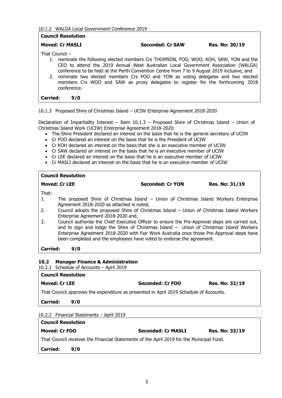#### 10.1.2 WALGA Local Government Conference 2019

| <b>Council Resolution</b> |             |                                                                                                                                                                                                                                                                                                                                                                                                                                                       |                       |
|---------------------------|-------------|-------------------------------------------------------------------------------------------------------------------------------------------------------------------------------------------------------------------------------------------------------------------------------------------------------------------------------------------------------------------------------------------------------------------------------------------------------|-----------------------|
| <b>Moved: Cr MASLI</b>    |             | <b>Seconded: Cr SAW</b>                                                                                                                                                                                                                                                                                                                                                                                                                               | <b>Res. No: 30/19</b> |
| That Council $-$          | conference. | 1. nominate the following elected members Crs THOMSON, FOO, WOO, KOH, SAW, YON and the<br>CEO to attend the 2019 Annual West Australian Local Government Association (WALGA)<br>conference to be held at the Perth Convention Centre from 7 to 9 August 2019 inclusive, and<br>2. nominate two elected members Crs FOO and YON as voting delegates and two elected<br>members Crs WOO and SAW as proxy delegates to register for the forthcoming 2018 |                       |
| <b>Carried:</b>           | 9/0         |                                                                                                                                                                                                                                                                                                                                                                                                                                                       |                       |
|                           |             |                                                                                                                                                                                                                                                                                                                                                                                                                                                       |                       |

10.1.3 Proposed Shire of Christmas Island – UCIW Enterprise Agreement 2018-2020

Declaration of Impartiality Interest – Item 10.1.3 – Proposed Shire of Christmas Island – Union of Christmas Island Work (UCIW) Enterprise Agreement 2018-2020:

- The Shire President declared an interest on the basis that he is the general secretary of UCIW
- Cr FOO declared an interest on the basis that he is the President of UCIW
- Cr KOH declared an interest on the basis that she is an executive member of UCIW
- Cr SAW declared an interest on the basis that he is an executive member of UCIW
- Cr LEE declared an interest on the basis that he is an executive member of UCIW
- Cr MASLI declared an interest on the basis that he is an executive member of UCIW

| <b>Council Resolution</b> |                                                                                                                                                                                                                                                                                                                                                                   |                         |                |
|---------------------------|-------------------------------------------------------------------------------------------------------------------------------------------------------------------------------------------------------------------------------------------------------------------------------------------------------------------------------------------------------------------|-------------------------|----------------|
|                           | <b>Moved: Cr LEE</b>                                                                                                                                                                                                                                                                                                                                              | <b>Seconded: Cr YON</b> | Res. No: 31/19 |
| That:<br>1.               | The proposed Shire of Christmas Island – Union of Christmas Island Workers Enterprise<br>Agreement 2018-2020 as attached is noted.                                                                                                                                                                                                                                |                         |                |
| 2.                        | Council adopts the proposed Shire of Christmas Island – Union of Christmas Island Workers<br>Enterprise Agreement 2018-2020 and,                                                                                                                                                                                                                                  |                         |                |
| 3.                        | Council authorise the Chief Executive Officer to ensure the Pre-Approval steps are carried out,<br>and to sign and lodge the Shire of Christmas Island - Union of Christmas Island Workers<br>Enterprise Agreement 2018-2020 with Fair Work Australia once those Pre-Approval steps have<br>been completed and the employees have voted to endorse the agreement. |                         |                |
| <b>Carried:</b><br>9/0    |                                                                                                                                                                                                                                                                                                                                                                   |                         |                |
| 10.2                      | <b>Manager Finance &amp; Administration</b>                                                                                                                                                                                                                                                                                                                       |                         |                |
|                           | 10.2.1 Schedule of Accounts - April 2019                                                                                                                                                                                                                                                                                                                          |                         |                |

| <b>Council Resolution</b>                                                              |                  |                       |  |  |
|----------------------------------------------------------------------------------------|------------------|-----------------------|--|--|
| <b>Moved: Cr LEE</b>                                                                   | Seconded: Cr FOO | <b>Res. No: 32/19</b> |  |  |
| That Council approves the expenditure as presented in April 2019 Schedule of Accounts. |                  |                       |  |  |
| <b>Carried:</b><br>9/0                                                                 |                  |                       |  |  |
| 10.2.2 Financial Statements - April 2019                                               |                  |                       |  |  |

| <b>Council Resolution</b>                                                                |     |                           |                |  |
|------------------------------------------------------------------------------------------|-----|---------------------------|----------------|--|
| Moved: Cr FOO                                                                            |     | <b>Seconded: Cr MASLI</b> | Res. No: 33/19 |  |
| That Council receives the Financial Statements of the April 2019 for the Municipal Fund. |     |                           |                |  |
| <b>Carried:</b>                                                                          | 9/0 |                           |                |  |